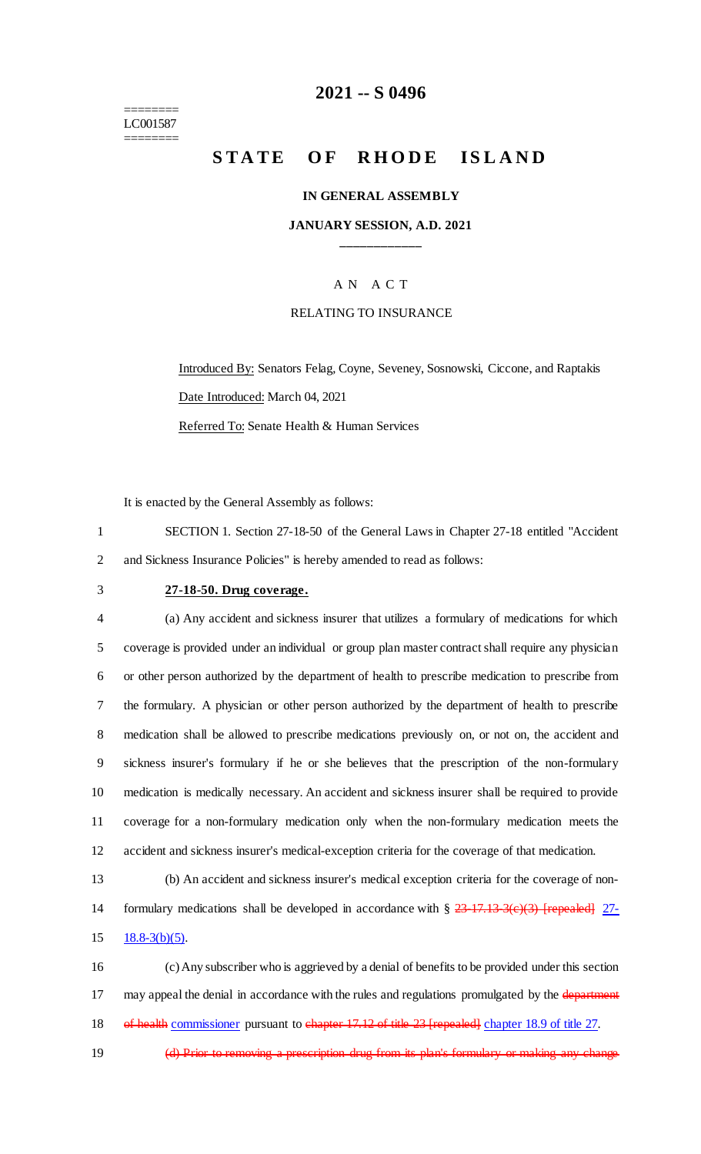======== LC001587 ========

## **2021 -- S 0496**

# **STATE OF RHODE ISLAND**

#### **IN GENERAL ASSEMBLY**

## **JANUARY SESSION, A.D. 2021 \_\_\_\_\_\_\_\_\_\_\_\_**

## A N A C T

#### RELATING TO INSURANCE

Introduced By: Senators Felag, Coyne, Seveney, Sosnowski, Ciccone, and Raptakis Date Introduced: March 04, 2021 Referred To: Senate Health & Human Services

It is enacted by the General Assembly as follows:

1 SECTION 1. Section 27-18-50 of the General Laws in Chapter 27-18 entitled "Accident 2 and Sickness Insurance Policies" is hereby amended to read as follows:

### 3 **27-18-50. Drug coverage.**

 (a) Any accident and sickness insurer that utilizes a formulary of medications for which coverage is provided under an individual or group plan master contract shall require any physician or other person authorized by the department of health to prescribe medication to prescribe from the formulary. A physician or other person authorized by the department of health to prescribe medication shall be allowed to prescribe medications previously on, or not on, the accident and sickness insurer's formulary if he or she believes that the prescription of the non-formulary medication is medically necessary. An accident and sickness insurer shall be required to provide coverage for a non-formulary medication only when the non-formulary medication meets the accident and sickness insurer's medical-exception criteria for the coverage of that medication.

13 (b) An accident and sickness insurer's medical exception criteria for the coverage of non-14 formulary medications shall be developed in accordance with §  $\frac{23-17.13-3(e)(3)}{[repeated]}$  27- $15 \quad 18.8 - 3(b)(5)$ .

16 (c) Any subscriber who is aggrieved by a denial of benefits to be provided under this section 17 may appeal the denial in accordance with the rules and regulations promulgated by the department 18 of health commissioner pursuant to chapter 17.12 of title 23 [repealed] chapter 18.9 of title 27.

19 (d) Prior to removing a prescription drug from its plan's formulary or making any change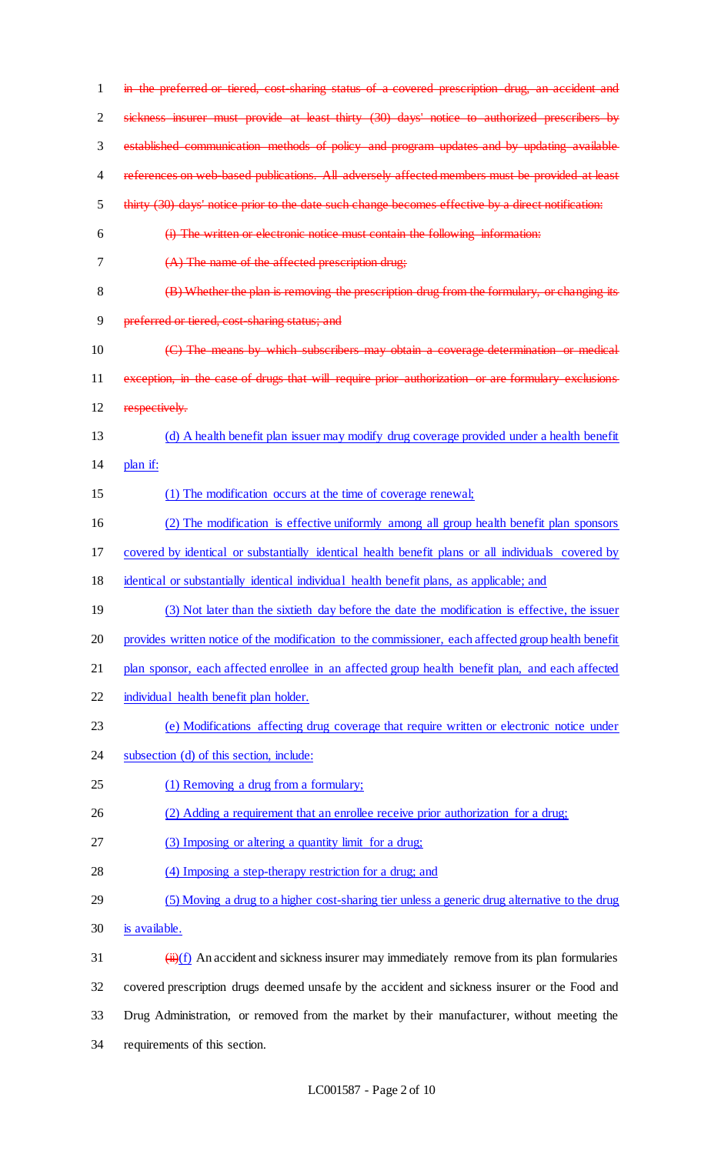| 1  | in the preferred or tiered, cost sharing status of a covered prescription drug, an accident and                 |
|----|-----------------------------------------------------------------------------------------------------------------|
| 2  | sickness insurer must provide at least thirty (30) days' notice to authorized prescribers by                    |
| 3  | established communication methods of policy and program updates and by updating available                       |
| 4  | references on web based publications. All adversely affected members must be provided at least                  |
| 5  | thirty (30) days' notice prior to the date such change becomes effective by a direct notification:              |
| 6  | (i) The written or electronic notice must contain the following information:                                    |
| 7  | $(A)$ The name of the affected prescription drug;                                                               |
| 8  | (B) Whether the plan is removing the prescription drug from the formulary, or changing its                      |
| 9  | preferred or tiered, cost-sharing status; and                                                                   |
| 10 | (C) The means by which subscribers may obtain a coverage determination or medical                               |
| 11 | exception, in the case of drugs that will require prior authorization or are formulary exclusions               |
| 12 | respectively.                                                                                                   |
| 13 | (d) A health benefit plan issuer may modify drug coverage provided under a health benefit                       |
| 14 | plan if:                                                                                                        |
| 15 | (1) The modification occurs at the time of coverage renewal;                                                    |
| 16 | (2) The modification is effective uniformly among all group health benefit plan sponsors                        |
| 17 | covered by identical or substantially identical health benefit plans or all individuals covered by              |
| 18 | identical or substantially identical individual health benefit plans, as applicable; and                        |
| 19 | (3) Not later than the sixtieth day before the date the modification is effective, the issuer                   |
| 20 | provides written notice of the modification to the commissioner, each affected group health benefit             |
| 21 | plan sponsor, each affected enrollee in an affected group health benefit plan, and each affected                |
| 22 | individual health benefit plan holder.                                                                          |
| 23 | (e) Modifications affecting drug coverage that require written or electronic notice under                       |
| 24 | subsection (d) of this section, include:                                                                        |
| 25 | (1) Removing a drug from a formulary;                                                                           |
| 26 | (2) Adding a requirement that an enrollee receive prior authorization for a drug;                               |
| 27 | (3) Imposing or altering a quantity limit for a drug;                                                           |
| 28 | (4) Imposing a step-therapy restriction for a drug; and                                                         |
| 29 | (5) Moving a drug to a higher cost-sharing tier unless a generic drug alternative to the drug                   |
| 30 | is available.                                                                                                   |
| 31 | $\left(\frac{1}{H}\right)(f)$ An accident and sickness insurer may immediately remove from its plan formularies |
| 32 | covered prescription drugs deemed unsafe by the accident and sickness insurer or the Food and                   |
| 33 | Drug Administration, or removed from the market by their manufacturer, without meeting the                      |
| 34 | requirements of this section.                                                                                   |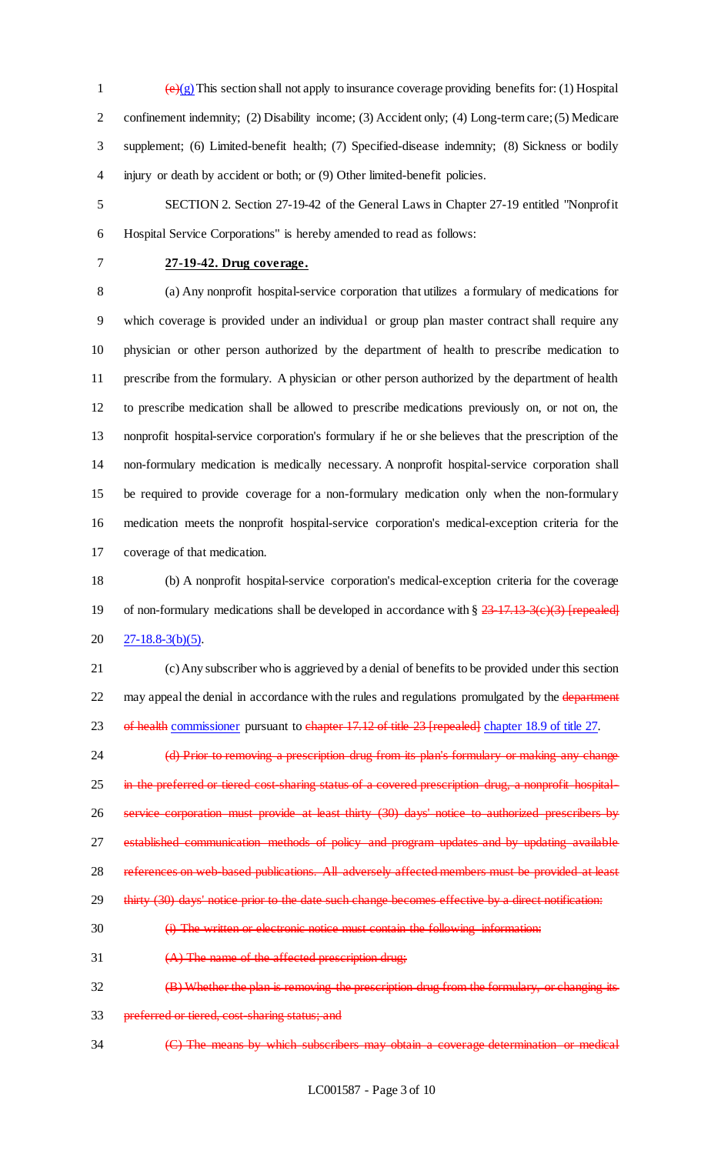$\left(\frac{e}{g}\right)$  This section shall not apply to insurance coverage providing benefits for: (1) Hospital 2 confinement indemnity; (2) Disability income; (3) Accident only; (4) Long-term care; (5) Medicare supplement; (6) Limited-benefit health; (7) Specified-disease indemnity; (8) Sickness or bodily injury or death by accident or both; or (9) Other limited-benefit policies.

 SECTION 2. Section 27-19-42 of the General Laws in Chapter 27-19 entitled "Nonprofit Hospital Service Corporations" is hereby amended to read as follows:

## **27-19-42. Drug coverage.**

 (a) Any nonprofit hospital-service corporation that utilizes a formulary of medications for which coverage is provided under an individual or group plan master contract shall require any physician or other person authorized by the department of health to prescribe medication to prescribe from the formulary. A physician or other person authorized by the department of health to prescribe medication shall be allowed to prescribe medications previously on, or not on, the nonprofit hospital-service corporation's formulary if he or she believes that the prescription of the non-formulary medication is medically necessary. A nonprofit hospital-service corporation shall be required to provide coverage for a non-formulary medication only when the non-formulary medication meets the nonprofit hospital-service corporation's medical-exception criteria for the coverage of that medication.

 (b) A nonprofit hospital-service corporation's medical-exception criteria for the coverage 19 of non-formulary medications shall be developed in accordance with  $\S 23-17.13-3(e)(3)$  [repealed] 20  $27-18.8-3(b)(5)$ .

 (c) Any subscriber who is aggrieved by a denial of benefits to be provided under this section 22 may appeal the denial in accordance with the rules and regulations promulgated by the department 23 of health commissioner pursuant to chapter 17.12 of title 23 [repealed] chapter 18.9 of title 27.

24 (d) Prior to removing a prescription drug from its plan's formulary or making any change 25 in the preferred or tiered cost sharing status of a covered prescription drug, a nonprofit hospital- service corporation must provide at least thirty (30) days' notice to authorized prescribers by established communication methods of policy and program updates and by updating available 28 references on web-based publications. All adversely affected members must be provided at least 29 thirty (30) days' notice prior to the date such change becomes effective by a direct notification:

- (i) The written or electronic notice must contain the following information:
- (A) The name of the affected prescription drug;
- 32 (B) Whether the plan is removing the prescription drug from the formulary, or changing its
- 33 preferred or tiered, cost-sharing status; and
- (C) The means by which subscribers may obtain a coverage determination or medical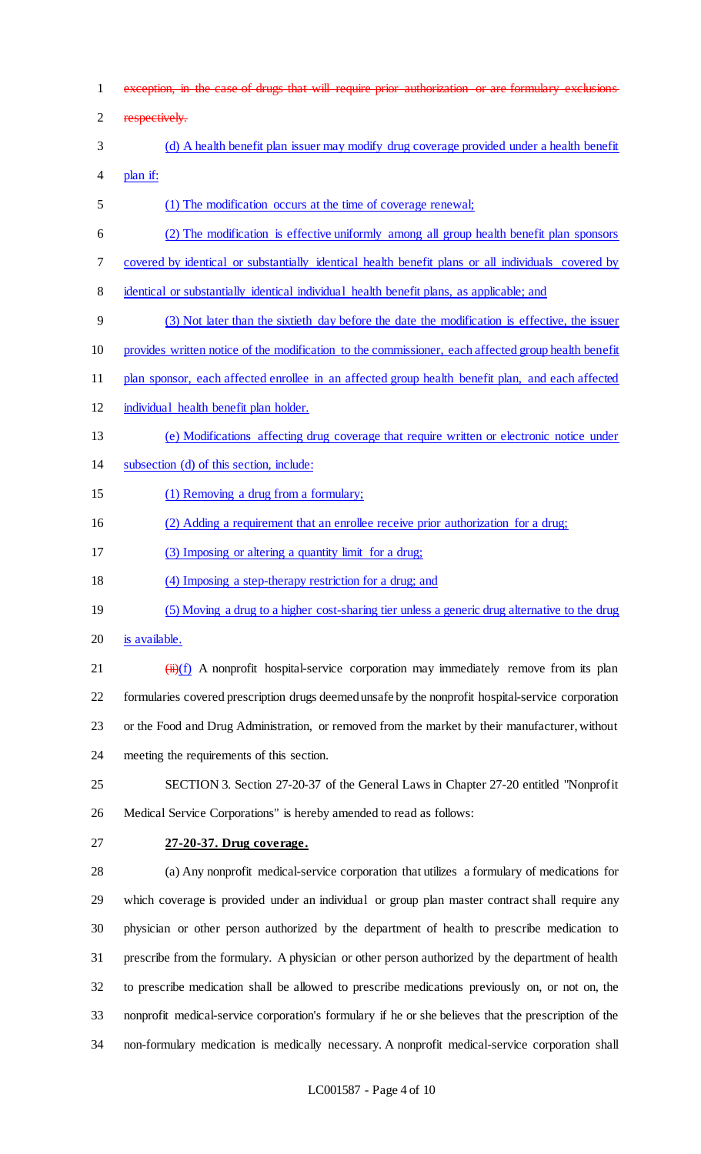exception, in the case of drugs that will require prior authorization or are formulary exclusions

respectively.

- (d) A health benefit plan issuer may modify drug coverage provided under a health benefit plan if:
- (1) The modification occurs at the time of coverage renewal;
- (2) The modification is effective uniformly among all group health benefit plan sponsors
- covered by identical or substantially identical health benefit plans or all individuals covered by
- identical or substantially identical individual health benefit plans, as applicable; and
- (3) Not later than the sixtieth day before the date the modification is effective, the issuer
- provides written notice of the modification to the commissioner, each affected group health benefit
- 11 plan sponsor, each affected enrollee in an affected group health benefit plan, and each affected
- individual health benefit plan holder.
- (e) Modifications affecting drug coverage that require written or electronic notice under
- subsection (d) of this section, include:
- 15 (1) Removing a drug from a formulary;
- (2) Adding a requirement that an enrollee receive prior authorization for a drug;
- 17 (3) Imposing or altering a quantity limit for a drug;
- (4) Imposing a step-therapy restriction for a drug; and
- (5) Moving a drug to a higher cost-sharing tier unless a generic drug alternative to the drug
- is available.
- 21  $(iii)(f)$  A nonprofit hospital-service corporation may immediately remove from its plan formularies covered prescription drugs deemed unsafe by the nonprofit hospital-service corporation or the Food and Drug Administration, or removed from the market by their manufacturer, without meeting the requirements of this section.
- SECTION 3. Section 27-20-37 of the General Laws in Chapter 27-20 entitled "Nonprofit Medical Service Corporations" is hereby amended to read as follows:
- **27-20-37. Drug coverage.**

 (a) Any nonprofit medical-service corporation that utilizes a formulary of medications for which coverage is provided under an individual or group plan master contract shall require any physician or other person authorized by the department of health to prescribe medication to prescribe from the formulary. A physician or other person authorized by the department of health to prescribe medication shall be allowed to prescribe medications previously on, or not on, the nonprofit medical-service corporation's formulary if he or she believes that the prescription of the non-formulary medication is medically necessary. A nonprofit medical-service corporation shall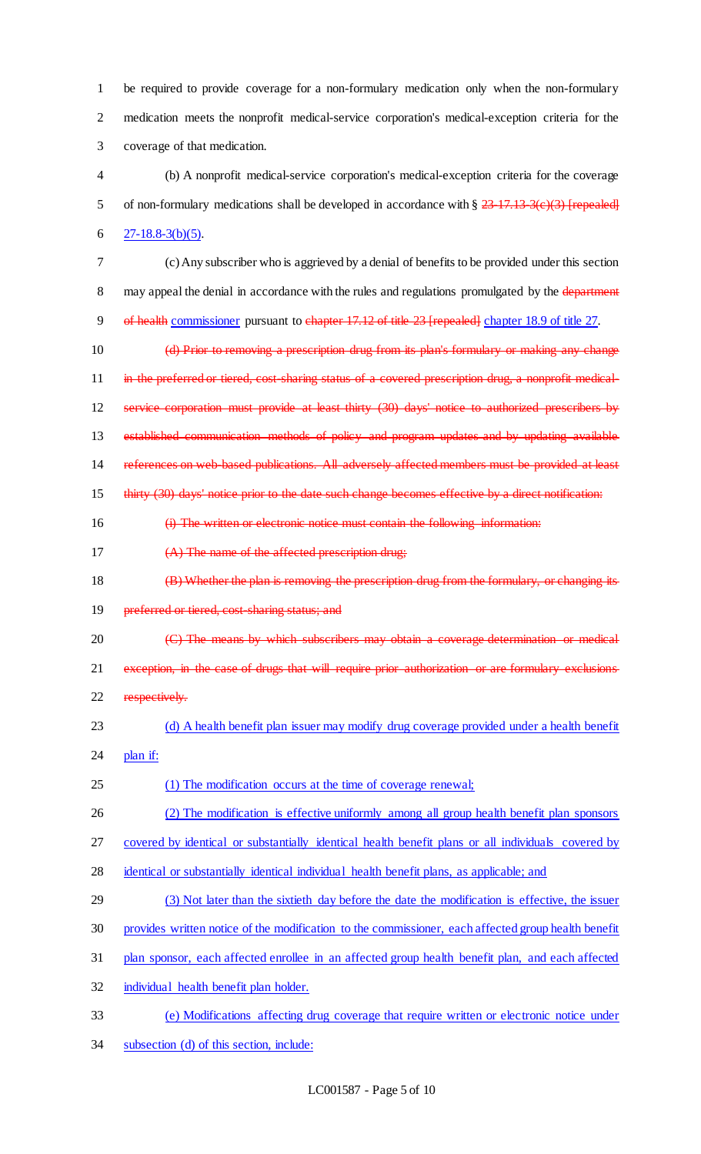1 be required to provide coverage for a non-formulary medication only when the non-formulary 2 medication meets the nonprofit medical-service corporation's medical-exception criteria for the 3 coverage of that medication.

- 4 (b) A nonprofit medical-service corporation's medical-exception criteria for the coverage 5 of non-formulary medications shall be developed in accordance with  $\S 23-17.13-3(c)(3)$  [repealed] 6  $27-18.8-3(b)(5)$ .
- 7 (c) Any subscriber who is aggrieved by a denial of benefits to be provided under this section 8 may appeal the denial in accordance with the rules and regulations promulgated by the department 9 of health commissioner pursuant to chapter 17.12 of title 23 [repealed] chapter 18.9 of title 27.
- 10 (d) Prior to removing a prescription drug from its plan's formulary or making any change 11 in the preferred or tiered, cost-sharing status of a covered prescription drug, a nonprofit medical-12 service corporation must provide at least thirty (30) days' notice to authorized prescribers by 13 established communication methods of policy and program updates and by updating available 14 references on web-based publications. All adversely affected members must be provided at least 15 thirty (30) days' notice prior to the date such change becomes effective by a direct notification:
- 16 (i) The written or electronic notice must contain the following information:
- 17  $(A)$  The name of the affected prescription drug;
- 18 (B) Whether the plan is removing the prescription drug from the formulary, or changing its 19 preferred or tiered, cost-sharing status; and
- 20 (C) The means by which subscribers may obtain a coverage determination or medical 21 exception, in the case of drugs that will require prior authorization or are formulary exclusions 22 respectively.
- 23 (d) A health benefit plan issuer may modify drug coverage provided under a health benefit 24 plan if:
- 25 (1) The modification occurs at the time of coverage renewal;
- 26 (2) The modification is effective uniformly among all group health benefit plan sponsors

27 covered by identical or substantially identical health benefit plans or all individuals covered by

- 28 identical or substantially identical individual health benefit plans, as applicable; and
- 29 (3) Not later than the sixtieth day before the date the modification is effective, the issuer
- 30 provides written notice of the modification to the commissioner, each affected group health benefit
- 31 plan sponsor, each affected enrollee in an affected group health benefit plan, and each affected
- 32 individual health benefit plan holder.
- 33 (e) Modifications affecting drug coverage that require written or electronic notice under
- 34 subsection (d) of this section, include: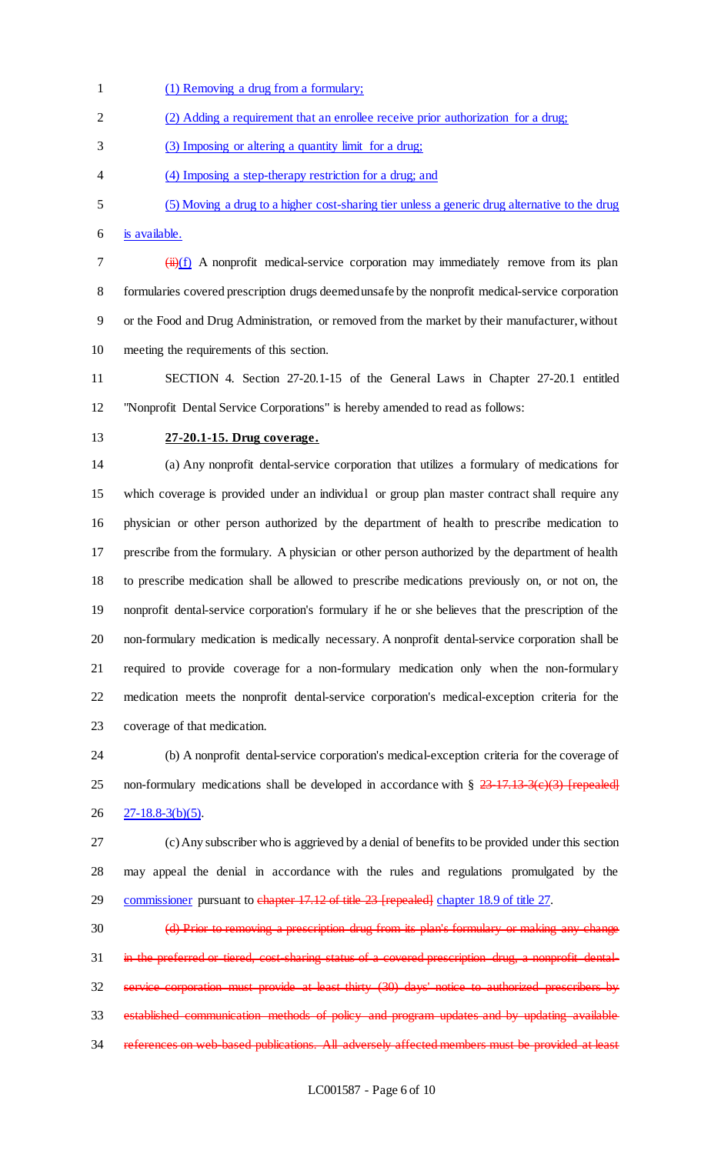(1) Removing a drug from a formulary; (2) Adding a requirement that an enrollee receive prior authorization for a drug; (3) Imposing or altering a quantity limit for a drug; (4) Imposing a step-therapy restriction for a drug; and (5) Moving a drug to a higher cost-sharing tier unless a generic drug alternative to the drug is available.  $7 \left( \frac{ii}{f} \right)$  A nonprofit medical-service corporation may immediately remove from its plan formularies covered prescription drugs deemed unsafe by the nonprofit medical-service corporation or the Food and Drug Administration, or removed from the market by their manufacturer, without meeting the requirements of this section.

 SECTION 4. Section 27-20.1-15 of the General Laws in Chapter 27-20.1 entitled "Nonprofit Dental Service Corporations" is hereby amended to read as follows:

## **27-20.1-15. Drug coverage.**

 (a) Any nonprofit dental-service corporation that utilizes a formulary of medications for which coverage is provided under an individual or group plan master contract shall require any physician or other person authorized by the department of health to prescribe medication to prescribe from the formulary. A physician or other person authorized by the department of health to prescribe medication shall be allowed to prescribe medications previously on, or not on, the nonprofit dental-service corporation's formulary if he or she believes that the prescription of the non-formulary medication is medically necessary. A nonprofit dental-service corporation shall be required to provide coverage for a non-formulary medication only when the non-formulary medication meets the nonprofit dental-service corporation's medical-exception criteria for the coverage of that medication.

 (b) A nonprofit dental-service corporation's medical-exception criteria for the coverage of 25 non-formulary medications shall be developed in accordance with  $\S 23-17.13-3(e)(3)$  [repealed] 26 27-18.8-3(b)(5).

 (c) Any subscriber who is aggrieved by a denial of benefits to be provided under this section may appeal the denial in accordance with the rules and regulations promulgated by the 29 commissioner pursuant to chapter 17.12 of title 23 [repealed] chapter 18.9 of title 27.

30 (d) Prior to removing a prescription drug from its plan's formulary or making any change 31 in the preferred or tiered, cost-sharing status of a covered prescription drug, a nonprofit dental- service corporation must provide at least thirty (30) days' notice to authorized prescribers by established communication methods of policy and program updates and by updating available 34 references on web-based publications. All adversely affected members must be provided at least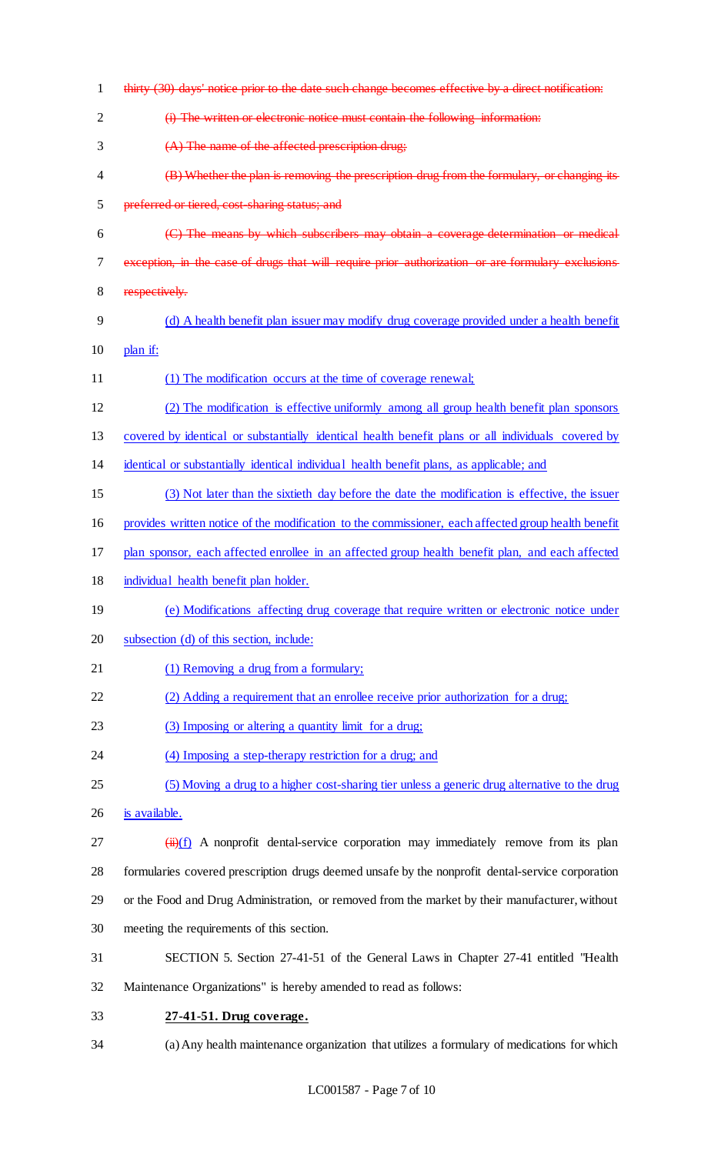| 1  | thirty (30) days' notice prior to the date such change becomes effective by a direct notification:                |
|----|-------------------------------------------------------------------------------------------------------------------|
| 2  | (i) The written or electronic notice must contain the following information:                                      |
| 3  | (A) The name of the affected prescription drug;                                                                   |
| 4  | (B) Whether the plan is removing the prescription drug from the formulary, or changing its                        |
| 5  | preferred or tiered, cost-sharing status; and                                                                     |
| 6  | (C) The means by which subscribers may obtain a coverage determination or medical                                 |
| 7  | exception, in the case of drugs that will require prior authorization or are formulary exclusions                 |
| 8  | respectively.                                                                                                     |
| 9  | (d) A health benefit plan issuer may modify drug coverage provided under a health benefit                         |
| 10 | plan if:                                                                                                          |
| 11 | (1) The modification occurs at the time of coverage renewal;                                                      |
| 12 | (2) The modification is effective uniformly among all group health benefit plan sponsors                          |
| 13 | covered by identical or substantially identical health benefit plans or all individuals covered by                |
| 14 | identical or substantially identical individual health benefit plans, as applicable; and                          |
| 15 | (3) Not later than the sixtieth day before the date the modification is effective, the issuer                     |
| 16 | provides written notice of the modification to the commissioner, each affected group health benefit               |
| 17 | plan sponsor, each affected enrollee in an affected group health benefit plan, and each affected                  |
| 18 | individual health benefit plan holder.                                                                            |
| 19 | (e) Modifications affecting drug coverage that require written or electronic notice under                         |
| 20 | subsection (d) of this section, include:                                                                          |
| 21 | (1) Removing a drug from a formulary;                                                                             |
| 22 | (2) Adding a requirement that an enrollee receive prior authorization for a drug;                                 |
| 23 | (3) Imposing or altering a quantity limit for a drug;                                                             |
| 24 | (4) Imposing a step-therapy restriction for a drug; and                                                           |
| 25 | (5) Moving a drug to a higher cost-sharing tier unless a generic drug alternative to the drug                     |
| 26 | is available.                                                                                                     |
| 27 | $\frac{(\ddot{H})(f)}{(\ddot{H})(f)}$ A nonprofit dental-service corporation may immediately remove from its plan |
| 28 | formularies covered prescription drugs deemed unsafe by the nonprofit dental-service corporation                  |
| 29 | or the Food and Drug Administration, or removed from the market by their manufacturer, without                    |
| 30 | meeting the requirements of this section.                                                                         |
| 31 | SECTION 5. Section 27-41-51 of the General Laws in Chapter 27-41 entitled "Health"                                |
| 32 | Maintenance Organizations" is hereby amended to read as follows:                                                  |
| 33 | 27-41-51. Drug coverage.                                                                                          |
| 34 | (a) Any health maintenance organization that utilizes a formulary of medications for which                        |
|    |                                                                                                                   |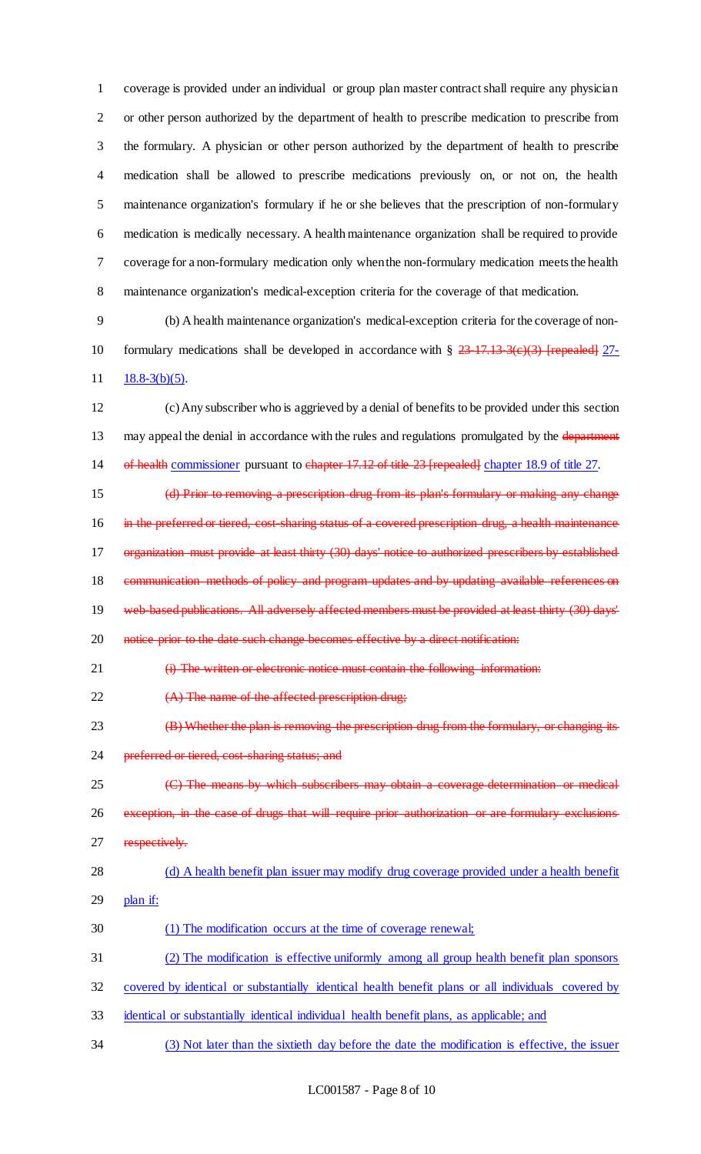coverage is provided under an individual or group plan master contract shall require any physician or other person authorized by the department of health to prescribe medication to prescribe from the formulary. A physician or other person authorized by the department of health to prescribe medication shall be allowed to prescribe medications previously on, or not on, the health maintenance organization's formulary if he or she believes that the prescription of non-formulary medication is medically necessary. A health maintenance organization shall be required to provide coverage for a non-formulary medication only when the non-formulary medication meets the health maintenance organization's medical-exception criteria for the coverage of that medication.

 (b) A health maintenance organization's medical-exception criteria for the coverage of non-10 formulary medications shall be developed in accordance with  $\S 23-17.13-3(e)(3)$  [repealed] 27-11  $18.8-3(b)(5)$ .

 (c) Any subscriber who is aggrieved by a denial of benefits to be provided under this section 13 may appeal the denial in accordance with the rules and regulations promulgated by the department 14 of health commissioner pursuant to chapter 17.12 of title 23 [repealed] chapter 18.9 of title 27.

 (d) Prior to removing a prescription drug from its plan's formulary or making any change 16 in the preferred or tiered, cost-sharing status of a covered prescription drug, a health maintenance organization must provide at least thirty (30) days' notice to authorized prescribers by established 18 communication methods of policy and program updates and by updating available references on web-based publications. All adversely affected members must be provided at least thirty (30) days' 20 notice prior to the date such change becomes effective by a direct notification:

21 (i) The written or electronic notice must contain the following information:

22  $(A)$  The name of the affected prescription drug;

**(B)** Whether the plan is removing the prescription drug from the formulary, or changing its 24 preferred or tiered, cost-sharing status; and

 (C) The means by which subscribers may obtain a coverage determination or medical exception, in the case of drugs that will require prior authorization or are formulary exclusions 27 respectively.

## (d) A health benefit plan issuer may modify drug coverage provided under a health benefit

- plan if:
- (1) The modification occurs at the time of coverage renewal;
- (2) The modification is effective uniformly among all group health benefit plan sponsors
- covered by identical or substantially identical health benefit plans or all individuals covered by
- identical or substantially identical individual health benefit plans, as applicable; and
- (3) Not later than the sixtieth day before the date the modification is effective, the issuer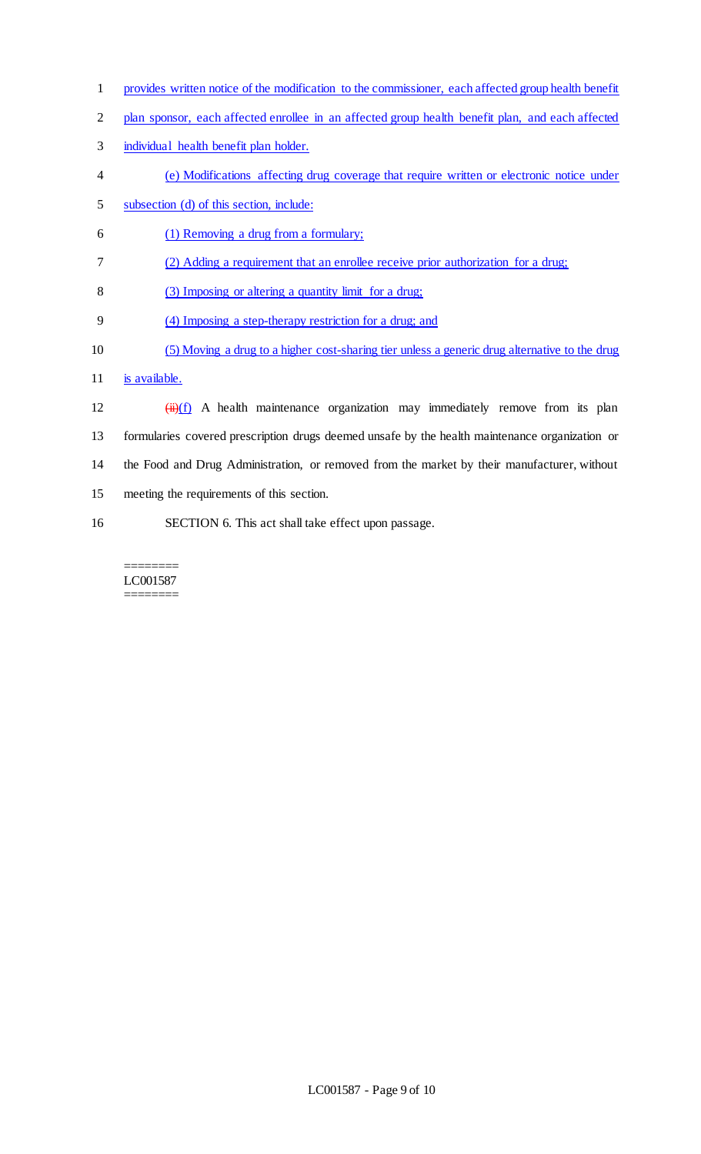- provides written notice of the modification to the commissioner, each affected group health benefit
- 2 plan sponsor, each affected enrollee in an affected group health benefit plan, and each affected
- individual health benefit plan holder.
- (e) Modifications affecting drug coverage that require written or electronic notice under
- subsection (d) of this section, include:
- (1) Removing a drug from a formulary;
- (2) Adding a requirement that an enrollee receive prior authorization for a drug;
- (3) Imposing or altering a quantity limit for a drug;
- (4) Imposing a step-therapy restriction for a drug; and
- (5) Moving a drug to a higher cost-sharing tier unless a generic drug alternative to the drug
- 11 is available.
- 12  $(ii)(f)$  A health maintenance organization may immediately remove from its plan formularies covered prescription drugs deemed unsafe by the health maintenance organization or the Food and Drug Administration, or removed from the market by their manufacturer, without meeting the requirements of this section. SECTION 6. This act shall take effect upon passage.

#### ======== LC001587 ========